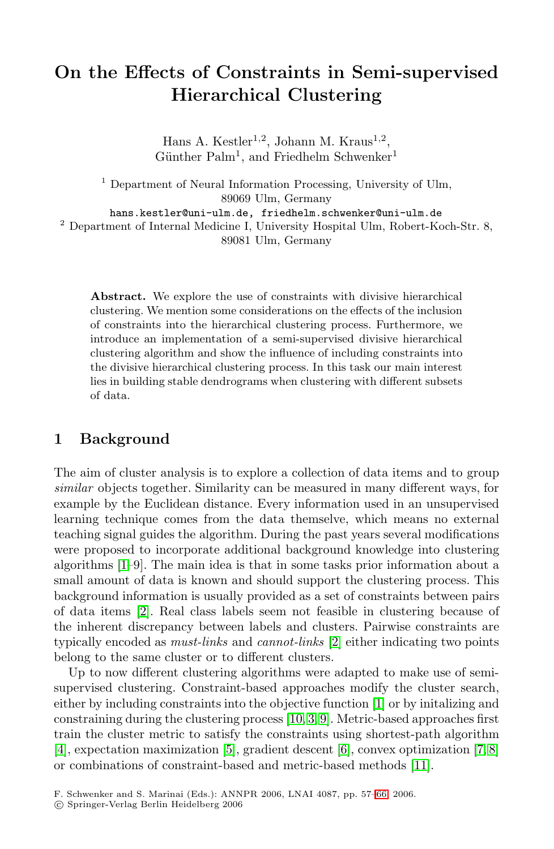# **On the Effects of Constraints in Semi-supervised Hierarchical Clustering**

Hans A. Kestler<sup>1,2</sup>, Johann M. Kraus<sup>1,2</sup>, Günther Palm<sup>1</sup>, and Friedhelm Schwenker<sup>1</sup>

<sup>1</sup> Department of Neural Information Processing, University of Ulm, 89069 Ulm, Germany

hans.kestler@uni-ulm.de, friedhelm.schwenker@uni-ulm.de

 $^{\rm 2}$  Department of Internal Medicine I, University Hospital Ulm, Robert-Koch-Str. 8, 89081 Ulm, Germany

**Abstract.** We explore the use of constraints with divisive hierarchical clustering. We mention some considerations on the effects of the inclusion of constraints into the hierarchical clustering process. Furthermore, we introduce an implementation of a semi-supervised divisive hierarchical clustering algorithm and show the influence of including constraints into the divisive hierarchical clustering process. In this task our main interest lies in building stable dendrograms when clustering with different subsets of data.

# **1 Background**

The aim of cluster analysis is to explore a collection of data items and to group *similar* objects together. Similarity can be measured in many different ways, for example by the Euclidean distance. Every information used in an unsupervised learning technique comes fro[m](#page-9-0) the data themselve, which means no external teaching signal guides the algorithm. During the past years several modifications were proposed to incorporate additional background knowledge into clustering algorithms [1–9]. The main idea is that in some tasks prior information about a small amount of data is known and s[hou](#page-8-0)ld support the clustering process. This background informatio[n is](#page-9-1) [u](#page-9-2)[su](#page-9-3)ally provided as a set of constraints between pairs of data items [2]. Real class labels seem not feasible in clustering because of the inheren[t](#page-9-4) discrepancy betwe[en](#page-9-5) labels and clusters. [Pa](#page-9-6)[irw](#page-9-7)ise constraints are typically encoded as *must-links* and *cannot-li[nks](#page-9-8)* [2] either indicating two points belong to the same cluster or to different clusters.

Up to now different clustering algor[ith](#page-8-1)ms were adapted to make use of semisupervised clustering. Constraint-based approaches modify the cluster search, either by including constraints into the objective function [1] or by initalizing and constraining during the clustering process [10, 3, 9]. Metric-based approaches first train the cluster metric to satisfy the constraints using shortest-path algorithm [4], expectation maximization [5], gradient descent [6], convex optimization [7, 8] or combinations of constraint-based and metric-based methods [11].

F. Schwenker and S. Marinai (Eds.): ANNPR 2006, LNAI 4087, pp. 57–66, 2006.

<sup>-</sup>c Springer-Verlag Berlin Heidelberg 2006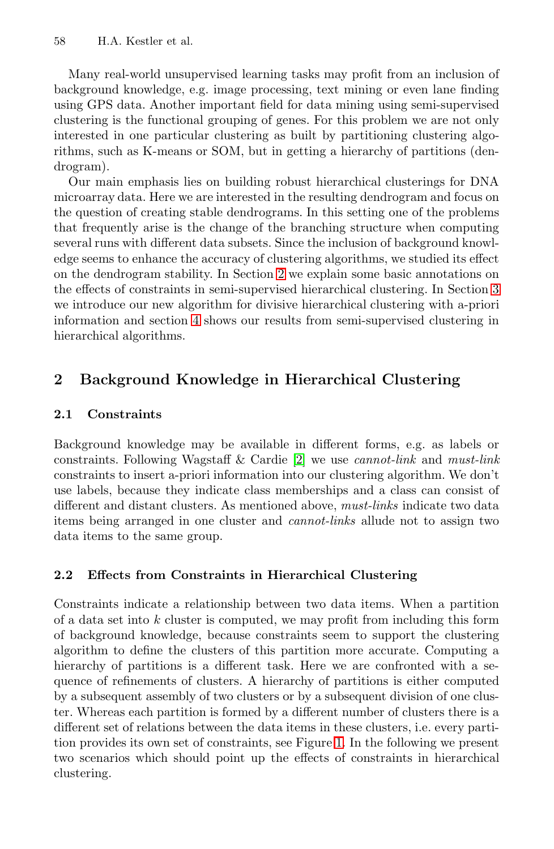Many real-world unsupervised learning tasks may profit from an inclusion of background knowledge, e.g. image processing, text mining or even lane finding using GPS data. Another important field for data mining using semi-supervised clustering is the functional grouping of genes. For this problem we are not only interested in one particular clustering as built by partitioning clustering algorithms, such as K-m[ea](#page-1-0)ns or SOM, but in getting a hierarchy of partitions (dendrogram).

<span id="page-1-0"></span>Our main emphasis lies on building robust hierarchical [cl](#page-4-0)usterings for DNA micro[ar](#page-6-0)ray data. Here we are interested in the resulting dendrogram and focus on the question of creating stable dendrograms. In this setting one of the problems that frequently arise is the change of the branching structure when computing several runs with different data subsets. Since the inclusion of background knowledge seems to enhance the accuracy of clustering algorithms, we studied its effect on the dendrogram stability. In Section 2 we explain some basic annotations on the effects of constraints in semi-supervised hierarchical clustering. In Section 3 we introduce our new algorithm for divisive hierarchical clustering with a-priori information and section 4 shows our results from semi-supervised clustering in hierarchical algorithms.

# **2 Background Knowledge in Hierarchical Clustering**

#### **2.1 Constraints**

Background knowledge may be available in different forms, e.g. as labels or constraints. Following Wagstaff & Cardie [2] we use *cannot-link* and *must-link* constraints to insert a-priori information into our clustering algorithm. We don't use labels, because they indicate class memberships and a class can consist of different and distant clusters. As mentioned above, *must-links* indicate two data items being arranged in one cluster and *cannot-links* allude not to assign two data items to the same group.

## **2.2 Effects from Constraints in Hierarchical Clustering**

Constraints indicate a relationship between two data items. When a partition of a data set into *k* cluster is c[om](#page-2-0)puted, we may profit from including this form of background knowledge, because constraints seem to support the clustering algorithm to define the clusters of this partition more accurate. Computing a hierarchy of partitions is a different task. Here we are confronted with a sequence of refinements of clusters. A hierarchy of partitions is either computed by a subsequent assembly of two clusters or by a subsequent division of one cluster. Whereas each partition is formed by a different number of clusters there is a different set of relations between the data items in these clusters, i.e. every partition provides its own set of constraints, see Figure 1. In the following we present two scenarios which should point up the effects of constraints in hierarchical clustering.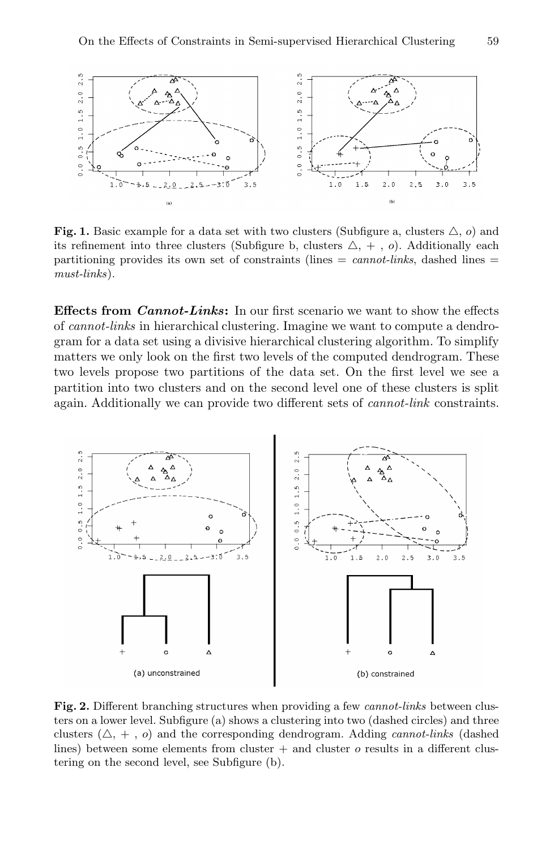

<span id="page-2-0"></span>**Fig. 1.** Basic example for a data set with two clusters (Subfigure a, clusters  $\triangle$ , *o*) and its refinement into three clusters (Subfigure b, clusters  $\triangle$ ,  $+$ , *o*) Additionally each its refinement into three clusters (Subfigure b, clusters  $\Delta, +, o$ ). Additionally each partitioning provides its own set of constraints (lines = *cannot-links*, dashed lines = *must-links*).

**Effects from** *Cannot-Links***:** In our first scenario we want to show the effects of *cannot-links* in hierarchical clustering. Imagine we want to compute a dendrogram for a data set using a divisive hierarchical clustering algorithm. To simplify matters we only look on the first two levels of the computed dendrogram. These two levels propose two partitions of the data set. On the first level we see a partition into two clusters and on the second level one of these clusters is split again. Additionally we can provide two different sets of *cannot-link* constraints.



**Fig. 2.** Different branching structures when providing a few *cannot-links* between clusters on a lower level. Subfigure (a) shows a clustering into two (dashed circles) and three clusters  $(\triangle, +, o)$  and the corresponding dendrogram. Adding *cannot-links* (dashed lines) between some elements from cluster + and cluster *o* results in a different clustering on the second level, see Subfigure (b).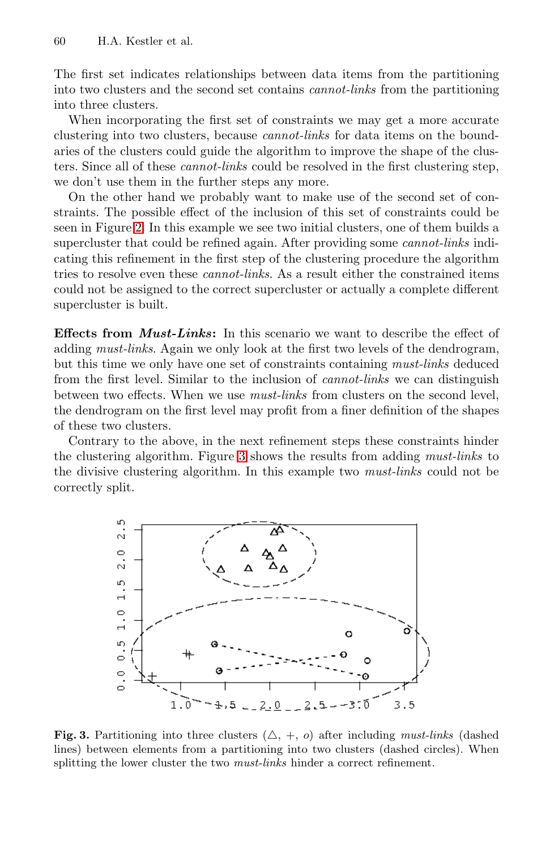The first set indicates relationships between data items from the partitioning into two clusters and the second set contains *cannot-links* from the partitioning into three clusters.

When incorporating the first set of constraints we may get a more accurate clustering into two clusters, because *cannot-links* for data items on the boundaries of the clusters could guide the algorithm to improve the shape of the clusters. Since all of these *cannot-links* could be resolved in the first clustering step, we don't use them in the further steps any more.

On the other hand we probably want to make use of the second set of constraints. The possible effect of the inclusion of this set of constraints could be seen in Figure 2. In this example we see two initial clusters, one of them builds a supercluster that could be refined again. After providing some *cannot-links* indicating this refinement in the first step of the clustering procedure the algorithm tries to resolve even these *cannot-links*. As a result either the constrained items could not be assigned to the correct supercluster or actually a complete different supercluster is built.

**Effects from** *[M](#page-3-0)ust-Links***:** In this scenario we want to describe the effect of adding *must-links*. Again we only look at the first two levels of the dendrogram, but this time we only have one set of constraints containing *must-links* deduced from the first level. Similar to the inclusion of *cannot-links* we can distinguish between two effects. When we use *must-links* from clusters on the second level, the dendrogram on the first level may profit from a finer definition of the shapes of these two clusters.

Contrary to the above, in the next refinement steps these constraints hinder the clustering algorithm. Figure 3 shows the results from adding *must-links* to the divisive clustering algorithm. In this example two *must-links* could not be correctly split.

<span id="page-3-0"></span>

**Fig. 3.** Partitioning into three clusters  $(\triangle, +, o)$  after including *must-links* (dashed inclusions) when lines) between elements from a partitioning into two clusters (dashed circles). When splitting the lower cluster the two *must-links* hinder a correct refinement.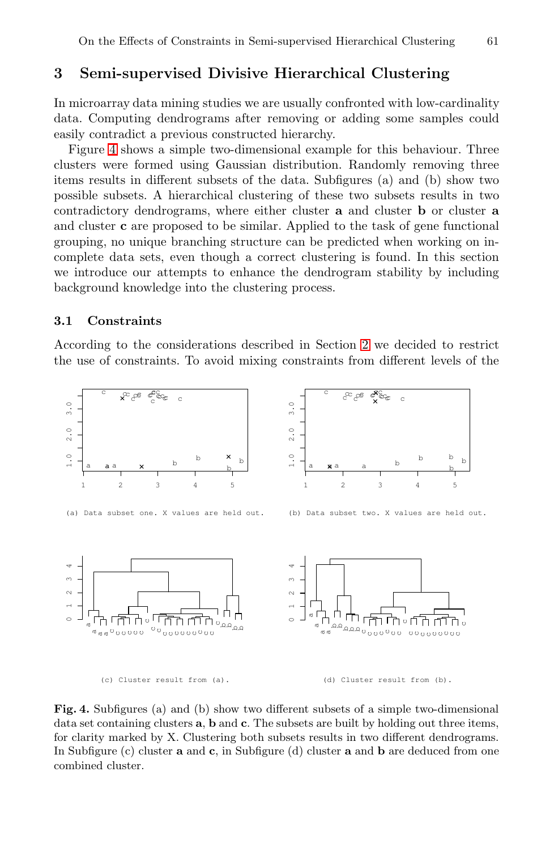# <span id="page-4-0"></span>**3 Semi-supervised Divisive Hierarchical Clustering**

In microarray data mining studies we are usually confronted with low-cardinality data. Computing dendrograms after removing or adding some samples could easily contradict a previous constructed hierarchy.

Figure 4 shows a simple two-dimensional example for this behaviour. Three clusters were formed using Gaussian distribution. Randomly removing three items results in different subsets of the data. Subfigures (a) and (b) show two possible subsets. A hierarchical clustering of these two subsets results in two contradictory dendrograms, where either cluster **a** and cluster **b** or cluster **a** and cluster **c** are proposed to be si[mil](#page-1-0)ar. Applied to the task of gene functional grouping, no unique branching structure can be predicted when working on incomplete data sets, even though a correct clustering is found. In this section we introduce our attempts to enhance the dendrogram stability by including background knowledge into the clustering process.

#### **3.1 Constraints**

According to the considerations described in Section 2 we decided to restrict the use of constraints. To avoid mixing constraints from different levels of the



<span id="page-4-1"></span>**Fig. 4.** Subfigures (a) and (b) show two different subsets of a simple two-dimensional data set containing clusters **a**, **b** and **c**. The subsets are built by holding out three items, for clarity marked by X. Clustering both subsets results in two different dendrograms. In Subfigure (c) cluster **a** and **c**, in Subfigure (d) cluster **a** and **b** are deduced from one combined cluster.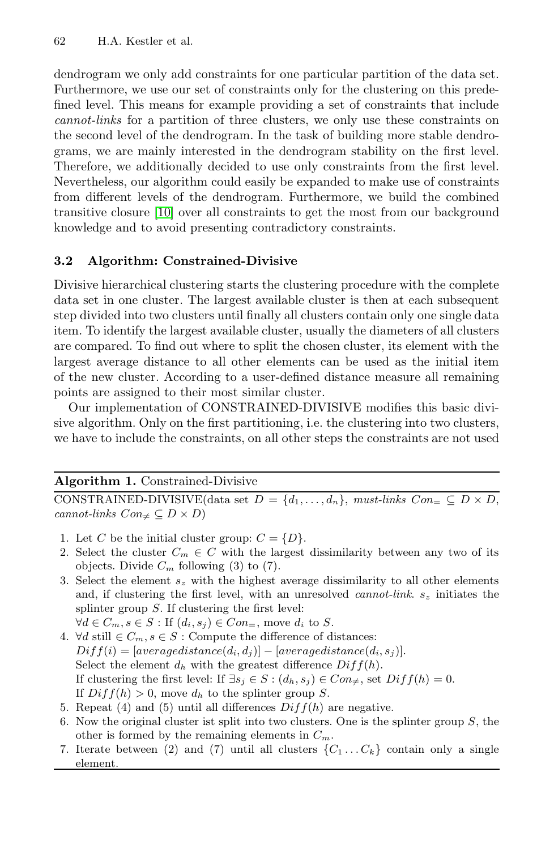dendrogram we only add constraints for one particular partition of the data set. [Fu](#page-9-1)rthermore, we use our set of constraints only for the clustering on this predefined level. This means for example providing a set of constraints that include *cannot-links* for a partition of three clusters, we only use these constraints on the second level of the dendrogram. In the task of building more stable dendrograms, we are mainly interested in the dendrogram stability on the first level. Therefore, we additionally decided to use only constraints from the first level. Nevertheless, our algorithm could easily be expanded to make use of constraints from different levels of the dendrogram. Furthermore, we build the combined transitive closure [10] over all constraints to get the most from our background knowledge and to avoid presenting contradictory constraints.

## **3.2 Algorithm: Constrained-Divisive**

Divisive hierarchical clustering starts the clustering procedure with the complete data set in one cluster. The largest available cluster is then at each subsequent step divided into two clusters until finally all clusters contain only one single data item. To identify the largest available cluster, usually the diameters of all clusters are compared. To find out where to split the chosen cluster, its element with the largest average distance to all other elements can be used as the initial item of the new cluster. According to a user-defined distance measure all remaining points are assigned to their most similar cluster.

Our implementation of CONSTRAINED-DIVISIVE modifies this basic divisive algorithm. Only on the first partitioning, i.e. the clustering into two clusters, we have to include the constraints, on all other steps the constraints are not used

#### **Algorithm 1.** Constrained-Divisive

CONSTRAINED-DIVISIVE(data set  $D = \{d_1, \ldots, d_n\}$ , must-links  $Con \subseteq D \times D$ , *cannot-links*  $Con_{\neq} \subseteq D \times D$ 

- 1. Let *C* be the initial cluster group:  $C = \{D\}.$
- 2. Select the cluster  $C_m \in C$  with the largest dissimilarity between any two of its objects. Divide  $C_m$  following (3) to (7).
- 3. Select the element  $s_z$  with the highest average dissimilarity to all other elements and, if clustering the first level, with an unresolved *cannot-link*. *s<sup>z</sup>* initiates the splinter group *S*. If clustering the first level:  $∀d ∈ C_m, s ∈ S:$  If  $(d_i, s_j) ∈ Con_=$ , move  $d_i$  to *S*.
- 4. ∀*d* still ∈  $C_m$ ,  $s \in S$ : Compute the difference of distances:  $Diff(i) = [averagedistance(d_i, d_i)] - [averagedistance(d_i, s_i)].$ Select the element  $d_h$  with the greatest difference  $Diff(h)$ . If clustering the first level: If  $\exists s_j \in S : (d_h, s_j) \in Con_{\neq}$ , set  $Diff(h) = 0$ . If  $Diff(h) > 0$ , move  $d_h$  to the splinter group *S*.
- 5. Repeat (4) and (5) until all differences *Diff*(*h*) are negative.
- 6. Now the original cluster ist split into two clusters. One is the splinter group *S*, the other is formed by the remaining elements in  $C_m$ .
- 7. Iterate between (2) and (7) until all clusters  $\{C_1 \ldots C_k\}$  contain only a single element.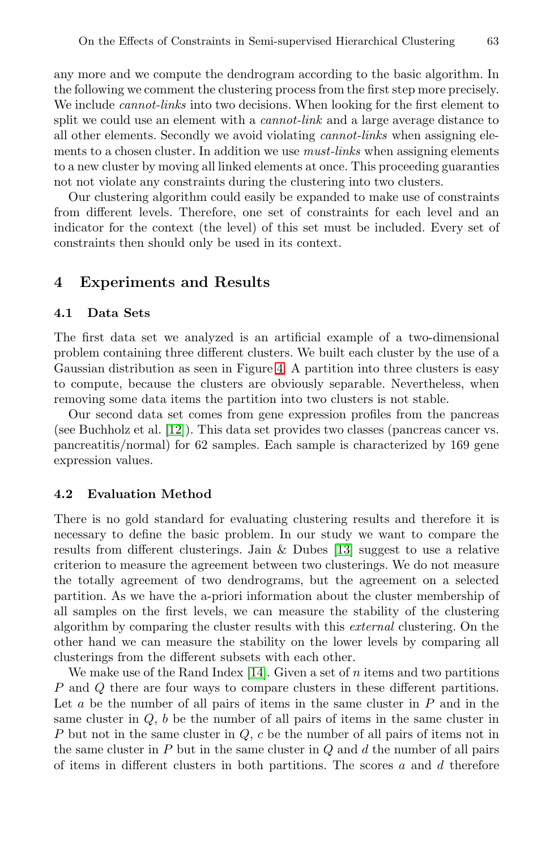any more and we compute the dendrogram according to the basic algorithm. In the following we comment the clustering process from the first step more precisely. We include *cannot-links* into two decisions. When looking for the first element to split we could use an element with a *cannot-link* and a large average distance to all other elements. Secondly we avoid violating *cannot-links* when assigning elements to a chosen cluster. In addition we use *must-links* when assigning elements to a new cluster by moving all linked elements at once. This proceeding guaranties not not violate any constraints during the clustering into two clusters.

<span id="page-6-0"></span>Our clustering algorithm could easily be expanded to make use of constraints from different levels. Therefore, one set of constraints for each level and an indicator for the context (the level) of this set must be included. Every set of constraints then sho[uld](#page-4-1) only be used in its context.

## **4 Experiments and Results**

#### **[4.1](#page-9-9) Data Sets**

The first data set we analyzed is an artificial example of a two-dimensional problem containing three different clusters. We built each cluster by the use of a Gaussian distribution as seen in Figure 4. A partition into three clusters is easy to compute, because the clusters are obviously separable. Nevertheless, when removing some data items the partition into two clusters is not stable.

Our second data set comes from gene expression profiles from the pancreas (see Buchholz et al. [12]). This [data](#page-9-10) set provides two classes (pancreas cancer vs. pancreatitis/normal) for 62 samples. Each sample is characterized by 169 gene expression values.

#### **4.2 Evaluation Method**

There is no gold standard for evaluating clustering results and therefore it is necessary to define the basic problem. In our study we want to compare the results from di[ffere](#page-9-11)nt clusterings. Jain & Dubes [13] suggest to use a relative criterion to measure the agreement between two clusterings. We do not measure the totally agreement of two dendrograms, but the agreement on a selected partition. As we have the a-priori information about the cluster membership of all samples on the first levels, we can measure the stability of the clustering algorithm by comparing the cluster results with this *external* clustering. On the other hand we can measure the stability on the lower levels by comparing all clusterings from the different subsets with each other.

We make use of the Rand Index [14]. Given a set of *n* items and two partitions *P* and *Q* there are four ways to compare clusters in these different partitions. Let *a* be the number of all pairs of items in the same cluster in *P* and in the same cluster in *Q*, *b* be the number of all pairs of items in the same cluster in *P* but not in the same cluster in *Q*, *c* be the number of all pairs of items not in the same cluster in *P* but in the same cluster in *Q* and *d* the number of all pairs of items in different clusters in both partitions. The scores *a* and *d* therefore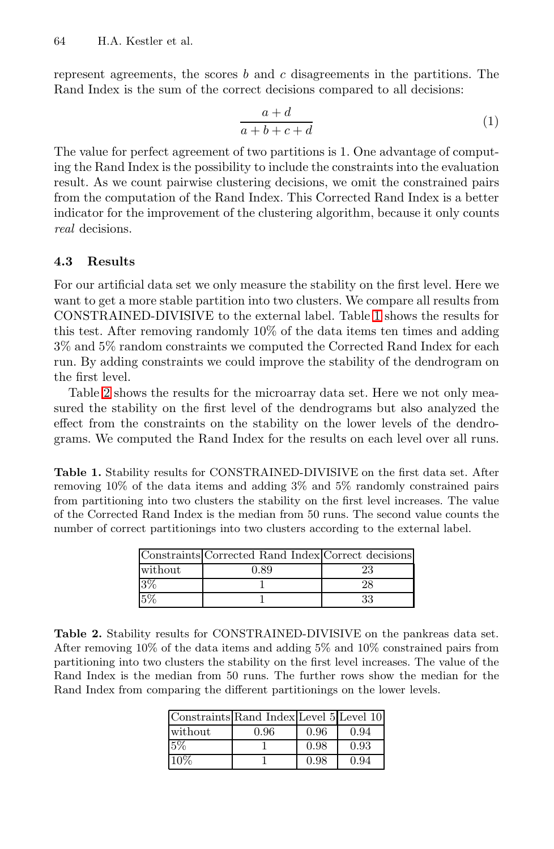represent agreements, the scores *b* and *c* disagreements in the partitions. The Rand Index is the sum of the correct decisions compared to all decisions:

$$
\frac{a+d}{a+b+c+d} \tag{1}
$$

The value for perfect agreement of two partitions is 1. One advantage of computing the Rand Index is the possibility to include the constraints into the evaluation result. As we count pairwise clustering decisions, we omit the constrained pairs from the computation of the Rand In[dex](#page-7-0). This Corrected Rand Index is a better indicator for the improvement of the clustering algorithm, because it only counts *real* decisions.

#### **4.3 Results**

For our artificial data set we only measure the stability on the first level. Here we want to get a more stable partition into two clusters. We compare all results from CONSTRAINED-DIVISIVE to the external label. Table 1 shows the results for this test. After removing randomly 10% of the data items ten times and adding 3% and 5% random constraints we computed the Corrected Rand Index for each run. By adding constraints we could improve the stability of the dendrogram on the first level.

<span id="page-7-0"></span>Table 2 shows the results for the microarray data set. Here we not only measured the stability on the first level of the dendrograms but also analyzed the effect from the constraints on the stability on the lower levels of the dendrograms. We computed the Rand Index for the results on each level over all runs.

**Table 1.** Stability results for CONSTRAINED-DIVISIVE on the first data set. After removing 10% of the data items and adding 3% and 5% randomly constrained pairs from partitioning into two clusters the stability on the first level increases. The value of the Corrected Rand Index is the median from 50 runs. The second value counts the number of correct partitionings into two clusters according to the external label.

|         | Constraints Corrected Rand Index Correct decisions |    |
|---------|----------------------------------------------------|----|
| without | D.89                                               | 23 |
| 3%      |                                                    | 28 |
| 507     |                                                    |    |

**Table 2.** Stability results for CONSTRAINED-DIVISIVE on the pankreas data set. After removing 10% of the data items and adding 5% and 10% constrained pairs from partitioning into two clusters the stability on the first level increases. The value of the Rand Index is the median from 50 runs. The further rows show the median for the Rand Index from comparing the different partitionings on the lower levels.

|         | Constraints Rand Index Level 5 Level 10 |      |      |
|---------|-----------------------------------------|------|------|
| without | 0.96                                    | 0.96 | 0.94 |
| 5%      |                                         | 0.98 | 0.93 |
| 10%     |                                         | 0.98 | 0.94 |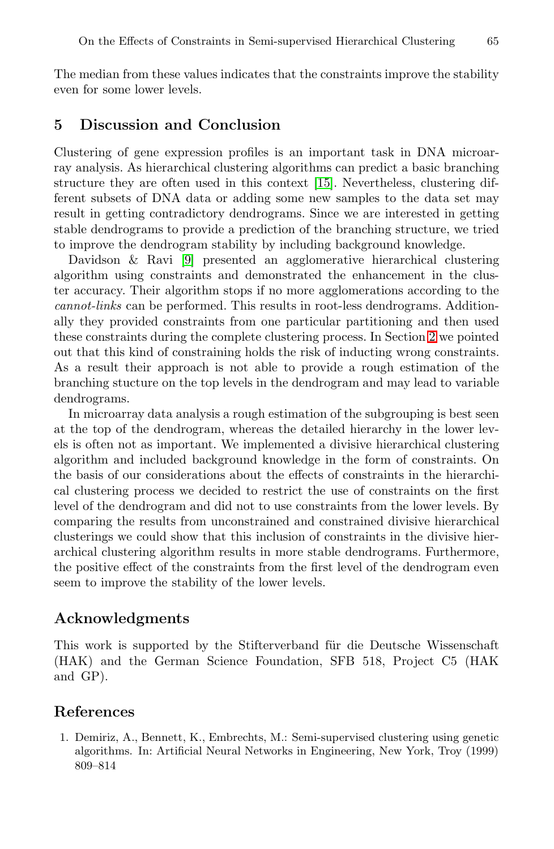The median from these valu[es](#page-9-12) [in](#page-9-12)dicates that the constraints improve the stability even for some lower levels.

## **5 Discussion and Conclusion**

Clu[ste](#page-9-3)ring of gene expression profiles is an important task in DNA microarray analysis. As hierarchical clustering algorithms can predict a basic branching structure they are often used in this context [15]. Nevertheless, clustering different subsets of DNA data or adding some new samples to the data set may result in getting contradictory dendrograms. Si[nc](#page-1-0)e we are interested in getting stable dendrograms to provide a prediction of the branching structure, we tried to improve the dendrogram stability by including background knowledge.

Davidson & Ravi [9] presented an agglomerative hierarchical clustering algorithm using constraints and demonstrated the enhancement in the cluster accuracy. Their algorithm stops if no more agglomerations according to the *cannot-links* can be performed. This results in root-less dendrograms. Additionally they provided constraints from one particular partitioning and then used these constraints during the complete clustering process. In Section 2 we pointed out that this kind of constraining holds the risk of inducting wrong constraints. As a result their approach is not able to provide a rough estimation of the branching stucture on the top levels in the dendrogram and may lead to variable dendrograms.

In microarray data analysis a rough estimation of the subgrouping is best seen at the top of the dendrogram, whereas the detailed hierarchy in the lower levels is often not as important. We implemented a divisive hierarchical clustering algorithm and included background knowledge in the form of constraints. On the basis of our considerations about the effects of constraints in the hierarchical clustering process we decided to restrict the use of constraints on the first level of the dendrogram and did not to use constraints from the lower levels. By comparing the results from unconstrained and constrained divisive hierarchical clusterings we could show that this inclusion of constraints in the divisive hierarchical clustering algorithm results in more stable dendrograms. Furthermore, the positive effect of the constraints from the first level of the dendrogram even seem to improve the stability of the lower levels.

# <span id="page-8-1"></span><span id="page-8-0"></span>**Acknowledgments**

This work is supported by the Stifterverband für die Deutsche Wissenschaft (HAK) and the German Science Foundation, SFB 518, Project C5 (HAK and GP).

## **References**

1. Demiriz, A., Bennett, K., Embrechts, M.: Semi-supervised clustering using genetic algorithms. In: Artificial Neural Networks in Engineering, New York, Troy (1999) 809–814